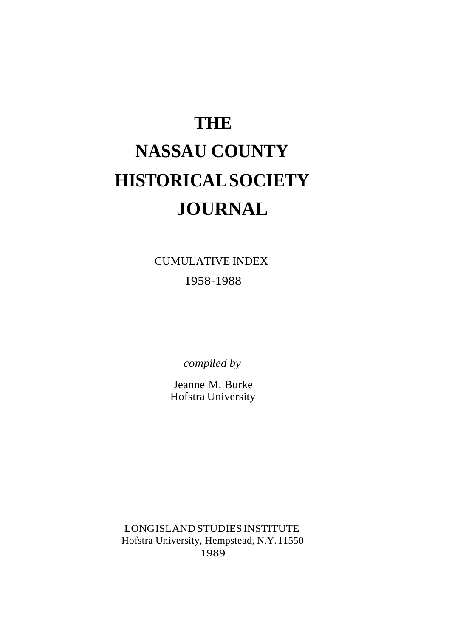# **THE NASSAU COUNTY HISTORICALSOCIETY JOURNAL**

CUMULATIVE INDEX

1958-1988

*compiled by*

Jeanne M. Burke Hofstra University

LONGISLANDSTUDIESINSTITUTE Hofstra University, Hempstead, N.Y.11550 1989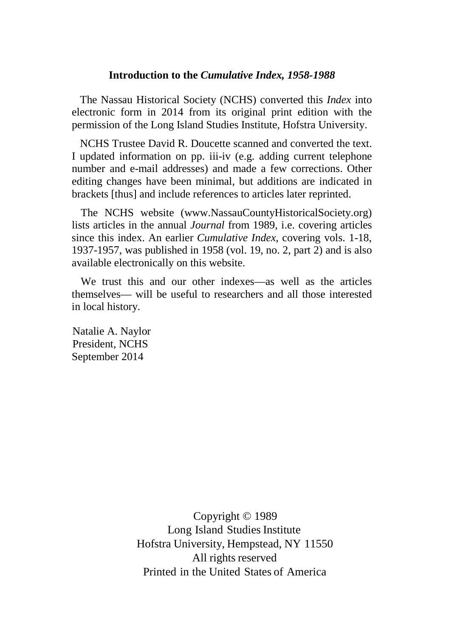## **Introduction to the** *Cumulative Index, 1958-1988*

 The Nassau Historical Society (NCHS) converted this *Index* into electronic form in 2014 from its original print edition with the permission of the Long Island Studies Institute, Hofstra University.

 NCHS Trustee David R. Doucette scanned and converted the text. I updated information on pp. iii-iv (e.g. adding current telephone number and e-mail addresses) and made a few corrections. Other editing changes have been minimal, but additions are indicated in brackets [thus] and include references to articles later reprinted.

 The NCHS website (www.NassauCountyHistoricalSociety.org) lists articles in the annual *Journal* from 1989, i.e. covering articles since this index. An earlier *Cumulative Index*, covering vols. 1-18, 1937-1957, was published in 1958 (vol. 19, no. 2, part 2) and is also available electronically on this website.

We trust this and our other indexes—as well as the articles themselves— will be useful to researchers and all those interested in local history.

Natalie A. Naylor President, NCHS September 2014

> Copyright © 1989 Long Island Studies Institute Hofstra University, Hempstead, NY 11550 All rights reserved Printed in the United States of America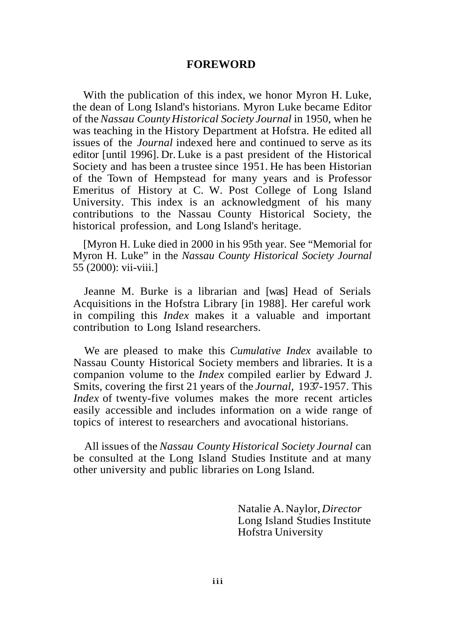# **FOREWORD**

With the publication of this index, we honor Myron H. Luke, the dean of Long Island's historians. Myron Luke became Editor of the*Nassau CountyHistorical Society Journal* in 1950, when he was teaching in the History Department at Hofstra. He edited all issues of the *Journal* indexed here and continued to serve as its editor [until 1996]. Dr. Luke is a past president of the Historical Society and has been a trustee since 1951. He has been Historian of the Town of Hempstead for many years and is Professor Emeritus of History at C. W. Post College of Long Island University. This index is an acknowledgment of his many contributions to the Nassau County Historical Society, the historical profession, and Long Island's heritage.

[Myron H. Luke died in 2000 in his 95th year. See "Memorial for Myron H. Luke" in the *Nassau County Historical Society Journal*  55 (2000): vii-viii.]

Jeanne M. Burke is a librarian and [was] Head of Serials Acquisitions in the Hofstra Library [in 1988]. Her careful work in compiling this *Index* makes it a valuable and important contribution to Long Island researchers.

We are pleased to make this *Cumulative Index* available to Nassau County Historical Society members and libraries. It is a companion volume to the *Index* compiled earlier by Edward J. Smits, covering the first 21 years of the *Journal,* 1937-1957. This *Index* of twenty-five volumes makes the more recent articles easily accessible and includes information on a wide range of topics of interest to researchers and avocational historians.

All issues of the *Nassau County Historical Society Journal* can be consulted at the Long Island Studies Institute and at many other university and public libraries on Long Island.

> Natalie A.Naylor, *Director* Long Island Studies Institute Hofstra University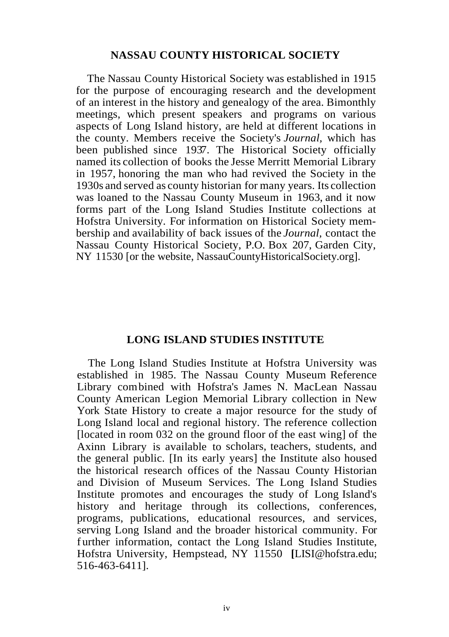#### **NASSAU COUNTY HISTORICAL SOCIETY**

The Nassau County Historical Society was established in 1915 for the purpose of encouraging research and the development of an interest in the history and genealogy of the area. Bimonthly meetings, which present speakers and programs on various aspects of Long Island history, are held at different locations in the county. Members receive the Society's *Journal,* which has been published since 1937. The Historical Society officially named its collection of books the Jesse Merritt Memorial Library in 1957, honoring the man who had revived the Society in the 1930s and served as county historian for many years. Its collection was loaned to the Nassau County Museum in 1963, and it now forms part of the Long Island Studies Institute collections at Hofstra University. For information on Historical Society membership and availability of back issues of the *Journal,* contact the Nassau County Historical Society, P.O. Box 207, Garden City, NY 11530 [or the website, NassauCountyHistoricalSociety.org].

#### **LONG ISLAND STUDIES INSTITUTE**

The Long Island Studies Institute at Hofstra University was established in 1985. The Nassau County Museum Reference Library combined with Hofstra's James N. MacLean Nassau County American Legion Memorial Library collection in New York State History to create a major resource for the study of Long Island local and regional history. The reference collection [located in room 032 on the ground floor of the east wing] of the Axinn Library is available to scholars, teachers, students, and the general public. [In its early years] the Institute also housed the historical research offices of the Nassau County Historian and Division of Museum Services. The Long Island Studies Institute promotes and encourages the study of Long Island's history and heritage through its collections, conferences, programs, publications, educational resources, and services, serving Long Island and the broader historical community. For f urther information, contact the Long Island Studies Institute, Hofstra University, Hempstead, NY 11550 **[**LISI@hofstra.edu; 516-463-6411].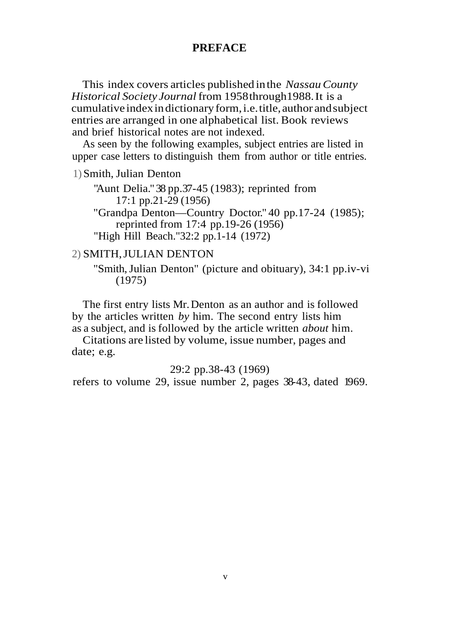#### **PREFACE**

This index covers articles published inthe *NassauCounty Historical Society Journal* from 1958through1988.It is a cumulative indexindictionaryform,i.e.title, author andsubject entries are arranged in one alphabetical list. Book reviews and brief historical notes are not indexed.

As seen by the following examples, subject entries are listed in upper case letters to distinguish them from author or title entries.

1)Smith, Julian Denton

"Aunt Delia."38 pp.37-45 (1983); reprinted from 17:1 pp.21-29 (1956)

"Grandpa Denton—Country Doctor." 40 pp.17-24 (1985); reprinted from 17:4 pp.19-26 (1956) "High Hill Beach."32:2 pp.1-14 (1972)

#### 2) SMITH,JULIAN DENTON

"Smith,Julian Denton" (picture and obituary), 34:1 pp.iv-vi (1975)

The first entry lists Mr.Denton as an author and is followed by the articles written *by* him. The second entry lists him as a subject, and is followed by the article written *about* him.

Citations are listed by volume, issue number, pages and date; e.g.

# 29:2 pp.38-43 (1969)

refers to volume 29, issue number 2, pages 38-43, dated 1969.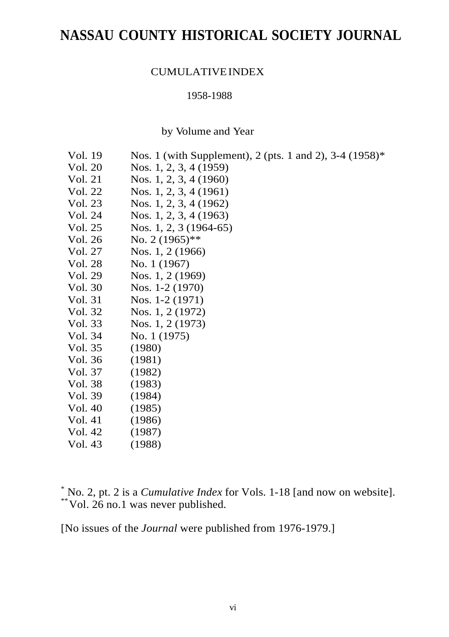# **NASSAU COUNTY HISTORICAL SOCIETY JOURNAL**

# CUMULATIVEINDEX

#### 1958-1988

by Volume and Year

| Vol. 19 | Nos. 1 (with Supplement), 2 (pts. 1 and 2), 3-4 (1958)* |
|---------|---------------------------------------------------------|
| Vol. 20 | Nos. 1, 2, 3, 4 (1959)                                  |
| Vol. 21 | Nos. 1, 2, 3, 4 (1960)                                  |
| Vol. 22 | Nos. 1, 2, 3, 4 (1961)                                  |
|         |                                                         |
| Vol. 23 | Nos. 1, 2, 3, 4 (1962)                                  |
| Vol. 24 | Nos. 1, 2, 3, 4 (1963)                                  |
| Vol. 25 | Nos. 1, 2, 3 (1964-65)                                  |
| Vol. 26 | No. $2(1965)$ **                                        |
| Vol. 27 | Nos. 1, 2 (1966)                                        |
| Vol. 28 | No. 1 (1967)                                            |
| Vol. 29 | Nos. 1, 2 (1969)                                        |
| Vol. 30 | Nos. 1-2 (1970)                                         |
| Vol. 31 | Nos. $1-2(1971)$                                        |
| Vol. 32 | Nos. 1, 2 (1972)                                        |
| Vol. 33 | Nos. 1, 2 (1973)                                        |
| Vol. 34 | No. 1 (1975)                                            |
| Vol. 35 | (1980)                                                  |
| Vol. 36 | (1981)                                                  |
| Vol. 37 | (1982)                                                  |
| Vol. 38 | (1983)                                                  |
| Vol. 39 | (1984)                                                  |
| Vol. 40 | (1985)                                                  |
| Vol. 41 | (1986)                                                  |
| Vol. 42 | (1987)                                                  |
| Vol. 43 | (1988)                                                  |

\* No. 2, pt. 2 is a *Cumulative Index* for Vols. 1-18 [and now on website]. \*\*Vol. 26 no.1 was never published.

[No issues of the *Journal* were published from 1976-1979.]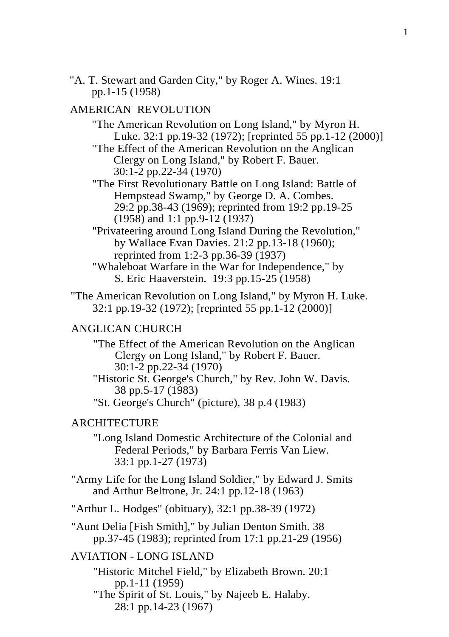"A. T. Stewart and Garden City," by Roger A. Wines. 19:1 pp.1-15 (1958)

# AMERICAN REVOLUTION

- "The American Revolution on Long Island," by Myron H. Luke. 32:1 pp.19-32 (1972); [reprinted 55 pp.1-12 (2000)]
- "The Effect of the American Revolution on the Anglican Clergy on Long Island," by Robert F. Bauer. 30:1-2 pp.22-34 (1970)
- "The First Revolutionary Battle on Long Island: Battle of Hempstead Swamp," by George D. A. Combes. 29:2 pp.38-43 (1969); reprinted from 19:2 pp.19-25 (1958) and 1:1 pp.9-12 (1937)
- "Privateering around Long Island During the Revolution," by Wallace Evan Davies. 21:2 pp.13-18 (1960); reprinted from 1:2-3 pp.36-39 (1937)
- "Whaleboat Warfare in the War for Independence," by S. Eric Haaverstein. 19:3 pp.15-25 (1958)
- "The American Revolution on Long Island," by Myron H. Luke. 32:1 pp.19-32 (1972); [reprinted 55 pp.1-12 (2000)]

# ANGLICAN CHURCH

- "The Effect of the American Revolution on the Anglican Clergy on Long Island," by Robert F. Bauer. 30:1-2 pp.22-34 (1970)
- "Historic St. George's Church," by Rev. John W. Davis. 38 pp.5-17 (1983)
- "St. George's Church" (picture), 38 p.4 (1983)

# ARCHITECTURE

- "Long Island Domestic Architecture of the Colonial and Federal Periods," by Barbara Ferris Van Liew. 33:1 pp.1-27 (1973)
- "Army Life for the Long Island Soldier," by Edward J. Smits and Arthur Beltrone, Jr. 24:1 pp.12-18 (1963)
- "Arthur L. Hodges" (obituary), 32:1 pp.38-39 (1972)
- "Aunt Delia [Fish Smith]," by Julian Denton Smith. 38 pp.37-45 (1983); reprinted from 17:1 pp.21-29 (1956)

# AVIATION - LONG ISLAND

- "Historic Mitchel Field," by Elizabeth Brown. 20:1 pp.1-11 (1959)
- "The Spirit of St. Louis," by Najeeb E. Halaby. 28:1 pp.14-23 (1967)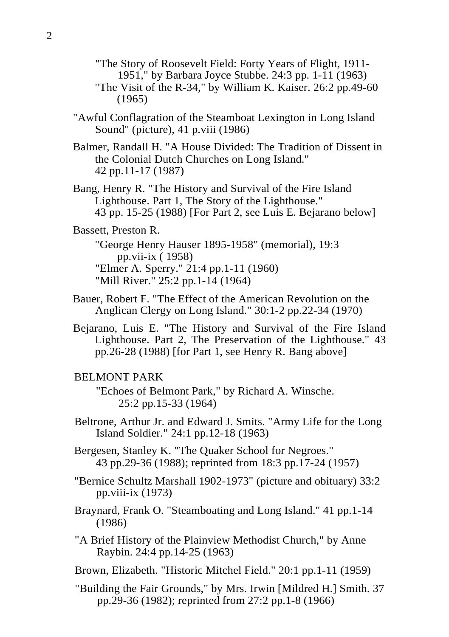"The Story of Roosevelt Field: Forty Years of Flight, 1911- 1951," by Barbara Joyce Stubbe. 24:3 pp. 1-11 (1963)

- "The Visit of the R-34," by William K. Kaiser. 26:2 pp.49-60 (1965)
- "Awful Conflagration of the Steamboat Lexington in Long Island Sound" (picture), 41 p.viii (1986)
- Balmer, Randall H. "A House Divided: The Tradition of Dissent in the Colonial Dutch Churches on Long Island." 42 pp.11-17 (1987)
- Bang, Henry R. "The History and Survival of the Fire Island Lighthouse. Part 1, The Story of the Lighthouse." 43 pp. 15-25 (1988) [For Part 2, see Luis E. Bejarano below]

# Bassett, Preston R.

"George Henry Hauser 1895-1958" (memorial), 19:3 pp.vii-ix ( 1958) "Elmer A. Sperry." 21:4 pp.1-11 (1960) "Mill River." 25:2 pp.1-14 (1964)

- Bauer, Robert F. "The Effect of the American Revolution on the Anglican Clergy on Long Island." 30:1-2 pp.22-34 (1970)
- Bejarano, Luis E. "The History and Survival of the Fire Island Lighthouse. Part 2, The Preservation of the Lighthouse." 43 pp.26-28 (1988) [for Part 1, see Henry R. Bang above]

#### BELMONT PARK

"Echoes of Belmont Park," by Richard A. Winsche. 25:2 pp.15-33 (1964)

- Beltrone, Arthur Jr. and Edward J. Smits. "Army Life for the Long Island Soldier." 24:1 pp.12-18 (1963)
- Bergesen, Stanley K. "The Quaker School for Negroes." 43 pp.29-36 (1988); reprinted from 18:3 pp.17-24 (1957)

"Bernice Schultz Marshall 1902-1973" (picture and obituary) 33:2 pp.viii-ix (1973)

Braynard, Frank O. "Steamboating and Long Island." 41 pp.1-14 (1986)

"A Brief History of the Plainview Methodist Church," by Anne Raybin. 24:4 pp.14-25 (1963)

- Brown, Elizabeth. "Historic Mitchel Field." 20:1 pp.1-11 (1959)
- "Building the Fair Grounds," by Mrs. Irwin [Mildred H.] Smith. 37 pp.29-36 (1982); reprinted from 27:2 pp.1-8 (1966)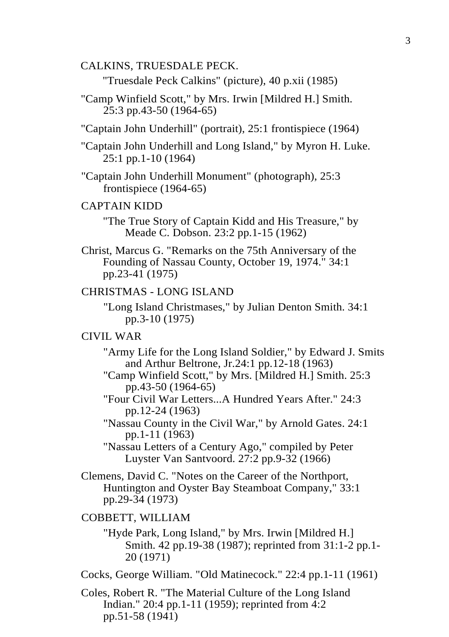#### CALKINS, TRUESDALE PECK.

"Truesdale Peck Calkins" (picture), 40 p.xii (1985)

- "Camp Winfield Scott," by Mrs. Irwin [Mildred H.] Smith. 25:3 pp.43-50 (1964-65)
- "Captain John Underhill" (portrait), 25:1 frontispiece (1964)
- "Captain John Underhill and Long Island," by Myron H. Luke. 25:1 pp.1-10 (1964)
- "Captain John Underhill Monument" (photograph), 25:3 frontispiece (1964-65)

#### CAPTAIN KIDD

"The True Story of Captain Kidd and His Treasure," by Meade C. Dobson. 23:2 pp.1-15 (1962)

Christ, Marcus G. "Remarks on the 75th Anniversary of the Founding of Nassau County, October 19, 1974." 34:1 pp.23-41 (1975)

#### CHRISTMAS - LONG ISLAND

"Long Island Christmases," by Julian Denton Smith. 34:1 pp.3-10 (1975)

# CIVIL WAR

- "Army Life for the Long Island Soldier," by Edward J. Smits and Arthur Beltrone, Jr.24:1 pp.12-18 (1963)
- "Camp Winfield Scott," by Mrs. [Mildred H.] Smith. 25:3 pp.43-50 (1964-65)
- "Four Civil War Letters...A Hundred Years After." 24:3 pp.12-24 (1963)
- "Nassau County in the Civil War," by Arnold Gates. 24:1 pp.1-11 (1963)

"Nassau Letters of a Century Ago," compiled by Peter Luyster Van Santvoord. 27:2 pp.9-32 (1966)

Clemens, David C. "Notes on the Career of the Northport, Huntington and Oyster Bay Steamboat Company," 33:1 pp.29-34 (1973)

#### COBBETT, WILLIAM

- "Hyde Park, Long Island," by Mrs. Irwin [Mildred H.] Smith. 42 pp.19-38 (1987); reprinted from 31:1-2 pp.1- 20 (1971)
- Cocks, George William. "Old Matinecock." 22:4 pp.1-11 (1961)
- Coles, Robert R. "The Material Culture of the Long Island Indian." 20:4 pp. 1-11 (1959); reprinted from  $4:2$ pp.51-58 (1941)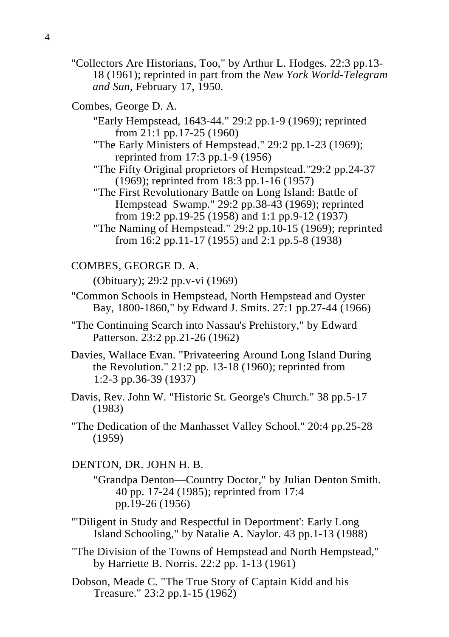- "Collectors Are Historians, Too," by Arthur L. Hodges. 22:3 pp.13- 18 (1961); reprinted in part from the *New York World-Telegram and Sun,* February 17, 1950.
- Combes, George D. A.
	- "Early Hempstead, 1643-44." 29:2 pp.1-9 (1969); reprinted from 21:1 pp.17-25 (1960)
	- "The Early Ministers of Hempstead." 29:2 pp.1-23 (1969); reprinted from 17:3 pp.1-9 (1956)
	- "The Fifty Original proprietors of Hempstead."29:2 pp.24-37 (1969); reprinted from 18:3 pp.1-16 (1957)
	- "The First Revolutionary Battle on Long Island: Battle of Hempstead Swamp." 29:2 pp.38-43 (1969); reprinted from 19:2 pp.19-25 (1958) and 1:1 pp.9-12 (1937)
	- "The Naming of Hempstead." 29:2 pp.10-15 (1969); reprinted from 16:2 pp.11-17 (1955) and 2:1 pp.5-8 (1938)

# COMBES, GEORGE D. A.

(Obituary); 29:2 pp.v-vi (1969)

- "Common Schools in Hempstead, North Hempstead and Oyster Bay, 1800-1860," by Edward J. Smits. 27:1 pp.27-44 (1966)
- "The Continuing Search into Nassau's Prehistory," by Edward Patterson. 23:2 pp.21-26 (1962)
- Davies, Wallace Evan. "Privateering Around Long Island During the Revolution." 21:2 pp. 13-18 (1960); reprinted from 1:2-3 pp.36-39 (1937)
- Davis, Rev. John W. "Historic St. George's Church." 38 pp.5-17 (1983)
- "The Dedication of the Manhasset Valley School." 20:4 pp.25-28 (1959)

# DENTON, DR. JOHN H. B.

- "Grandpa Denton—Country Doctor," by Julian Denton Smith. 40 pp. 17-24 (1985); reprinted from 17:4 pp.19-26 (1956)
- '"Diligent in Study and Respectful in Deportment': Early Long Island Schooling," by Natalie A. Naylor. 43 pp.1-13 (1988)
- "The Division of the Towns of Hempstead and North Hempstead," by Harriette B. Norris. 22:2 pp. 1-13 (1961)
- Dobson, Meade C. "The True Story of Captain Kidd and his Treasure." 23:2 pp.1-15 (1962)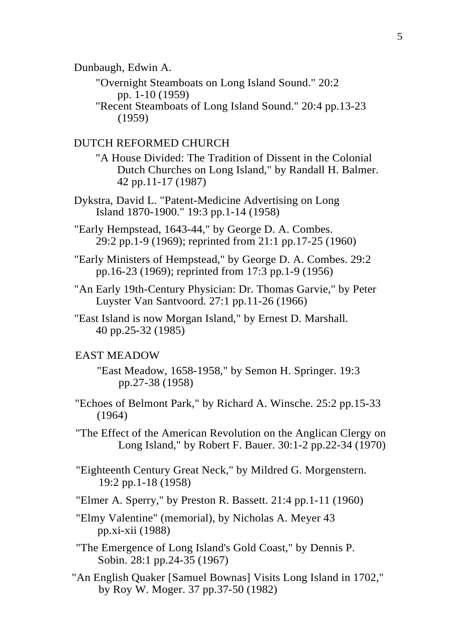Dunbaugh, Edwin A.

"Overnight Steamboats on Long Island Sound." 20:2 pp. 1-10 (1959)

"Recent Steamboats of Long Island Sound." 20:4 pp.13-23 (1959)

# DUTCH REFORMED CHURCH

- "A House Divided: The Tradition of Dissent in the Colonial Dutch Churches on Long Island," by Randall H. Balmer. 42 pp.11-17 (1987)
- Dykstra, David L. "Patent-Medicine Advertising on Long Island 1870-1900." 19:3 pp.1-14 (1958)

"Early Hempstead, 1643-44," by George D. A. Combes. 29:2 pp.1-9 (1969); reprinted from 21:1 pp.17-25 (1960)

"Early Ministers of Hempstead," by George D. A. Combes. 29:2 pp.16-23 (1969); reprinted from 17:3 pp.1-9 (1956)

- "An Early 19th-Century Physician: Dr. Thomas Garvie," by Peter Luyster Van Santvoord. 27:1 pp.11-26 (1966)
- "East Island is now Morgan Island," by Ernest D. Marshall. 40 pp.25-32 (1985)

#### EAST MEADOW

- "East Meadow, 1658-1958," by Semon H. Springer. 19:3 pp.27-38 (1958)
- "Echoes of Belmont Park," by Richard A. Winsche. 25:2 pp.15-33 (1964)

"The Effect of the American Revolution on the Anglican Clergy on Long Island," by Robert F. Bauer. 30:1-2 pp.22-34 (1970)

"Eighteenth Century Great Neck," by Mildred G. Morgenstern. 19:2 pp.1-18 (1958)

"Elmer A. Sperry," by Preston R. Bassett. 21:4 pp.1-11 (1960)

- "Elmy Valentine" (memorial), by Nicholas A. Meyer 43 pp.xi-xii (1988)
- "The Emergence of Long Island's Gold Coast," by Dennis P. Sobin. 28:1 pp.24-35 (1967)
- "An English Quaker [Samuel Bownas] Visits Long Island in 1702," by Roy W. Moger. 37 pp.37-50 (1982)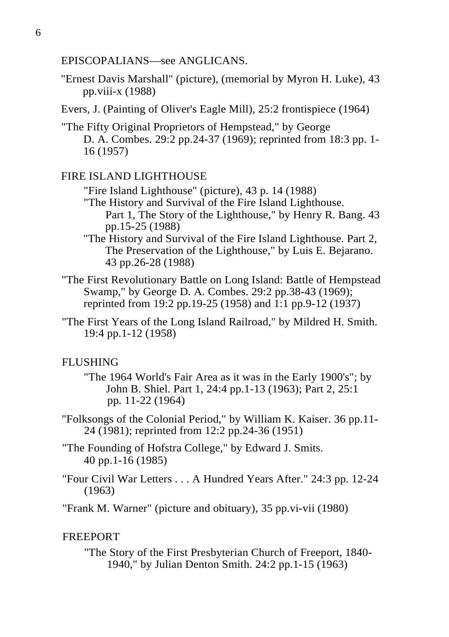EPISCOPALIANS—see ANGLICANS.

- "Ernest Davis Marshall" (picture), (memorial by Myron H. Luke), 43 pp.viii-x (1988)
- Evers, J. (Painting of Oliver's Eagle Mill), 25:2 frontispiece (1964)
- "The Fifty Original Proprietors of Hempstead," by George D. A. Combes. 29:2 pp.24-37 (1969); reprinted from 18:3 pp. 1- 16 (1957)

# FIRE ISLAND LIGHTHOUSE

- "Fire Island Lighthouse" (picture), 43 p. 14 (1988) "The History and Survival of the Fire Island Lighthouse. Part 1, The Story of the Lighthouse," by Henry R. Bang. 43 pp.15-25 (1988)
- "The History and Survival of the Fire Island Lighthouse. Part 2, The Preservation of the Lighthouse," by Luis E. Bejarano. 43 pp.26-28 (1988)
- "The First Revolutionary Battle on Long Island: Battle of Hempstead Swamp," by George D. A. Combes. 29:2 pp.38-43 (1969); reprinted from 19:2 pp.19-25 (1958) and 1:1 pp.9-12 (1937)
- "The First Years of the Long Island Railroad," by Mildred H. Smith. 19:4 pp.1-12 (1958)

# **FLUSHING**

- "The 1964 World's Fair Area as it was in the Early 1900's"; by John B. Shiel. Part 1, 24:4 pp.1-13 (1963); Part 2, 25:1 pp. 11-22 (1964)
- "Folksongs of the Colonial Period," by William K. Kaiser. 36 pp.11- 24 (1981); reprinted from 12:2 pp.24-36 (1951)
- "The Founding of Hofstra College," by Edward J. Smits. 40 pp.1-16 (1985)
- "Four Civil War Letters . . . A Hundred Years After." 24:3 pp. 12-24 (1963)

"Frank M. Warner" (picture and obituary), 35 pp.vi-vii (1980)

# FREEPORT

"The Story of the First Presbyterian Church of Freeport, 1840- 1940," by Julian Denton Smith. 24:2 pp.1-15 (1963)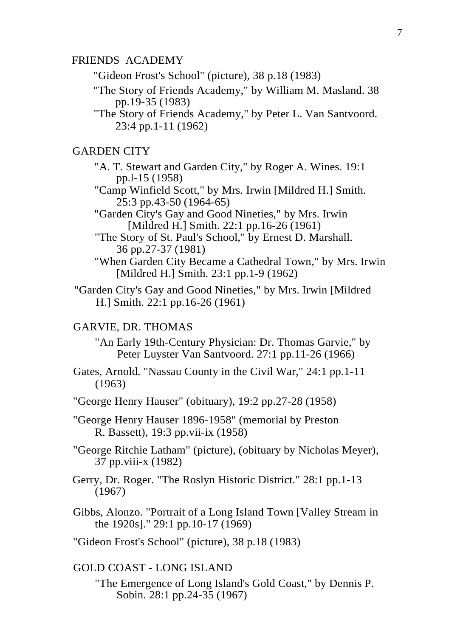#### FRIENDS ACADEMY

"Gideon Frost's School" (picture), 38 p.18 (1983)

- "The Story of Friends Academy," by William M. Masland. 38 pp.19-35 (1983)
- "The Story of Friends Academy," by Peter L. Van Santvoord. 23:4 pp.1-11 (1962)

# GARDEN CITY

- "A. T. Stewart and Garden City," by Roger A. Wines. 19:1 pp.l-15 (1958)
- "Camp Winfield Scott," by Mrs. Irwin [Mildred H.] Smith. 25:3 pp.43-50 (1964-65)
- "Garden City's Gay and Good Nineties," by Mrs. Irwin [Mildred H.] Smith. 22:1 pp.16-26 (1961)
- "The Story of St. Paul's School," by Ernest D. Marshall. 36 pp.27-37 (1981)
- "When Garden City Became a Cathedral Town," by Mrs. Irwin [Mildred H.] Smith. 23:1 pp. 1-9 (1962)
- "Garden City's Gay and Good Nineties," by Mrs. Irwin [Mildred H.] Smith. 22:1 pp.16-26 (1961)

# GARVIE, DR. THOMAS

- "An Early 19th-Century Physician: Dr. Thomas Garvie," by Peter Luyster Van Santvoord. 27:1 pp.11-26 (1966)
- Gates, Arnold. "Nassau County in the Civil War," 24:1 pp.1-11 (1963)
- "George Henry Hauser" (obituary), 19:2 pp.27-28 (1958)
- "George Henry Hauser 1896-1958" (memorial by Preston R. Bassett), 19:3 pp.vii-ix (1958)
- "George Ritchie Latham" (picture), (obituary by Nicholas Meyer), 37 pp.viii-x (1982)
- Gerry, Dr. Roger. "The Roslyn Historic District." 28:1 pp.1-13 (1967)
- Gibbs, Alonzo. "Portrait of a Long Island Town [Valley Stream in the 1920s]." 29:1 pp.10-17 (1969)
- "Gideon Frost's School" (picture), 38 p.18 (1983)

#### GOLD COAST - LONG ISLAND

"The Emergence of Long Island's Gold Coast," by Dennis P. Sobin. 28:1 pp.24-35 (1967)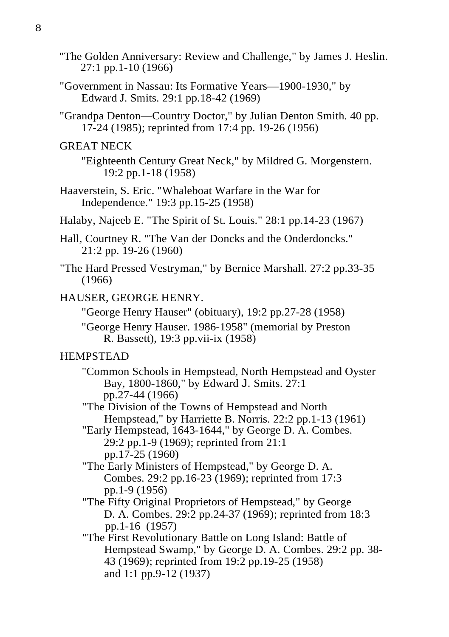- "The Golden Anniversary: Review and Challenge," by James J. Heslin. 27:1 pp.1-10 (1966)
- "Government in Nassau: Its Formative Years—1900-1930," by Edward J. Smits. 29:1 pp.18-42 (1969)
- "Grandpa Denton—Country Doctor," by Julian Denton Smith. 40 pp. 17-24 (1985); reprinted from 17:4 pp. 19-26 (1956)

# GREAT NECK

"Eighteenth Century Great Neck," by Mildred G. Morgenstern. 19:2 pp.1-18 (1958)

- Haaverstein, S. Eric. "Whaleboat Warfare in the War for Independence." 19:3 pp.15-25 (1958)
- Halaby, Najeeb E. "The Spirit of St. Louis." 28:1 pp.14-23 (1967)
- Hall, Courtney R. "The Van der Doncks and the Onderdoncks." 21:2 pp. 19-26 (1960)
- "The Hard Pressed Vestryman," by Bernice Marshall. 27:2 pp.33-35 (1966)

# HAUSER, GEORGE HENRY.

"George Henry Hauser" (obituary), 19:2 pp.27-28 (1958)

"George Henry Hauser. 1986-1958" (memorial by Preston R. Bassett), 19:3 pp.vii-ix (1958)

# HEMPSTEAD

"Common Schools in Hempstead, North Hempstead and Oyster Bay, 1800-1860," by Edward J. Smits. 27:1 pp.27-44 (1966)

"The Division of the Towns of Hempstead and North Hempstead," by Harriette B. Norris. 22:2 pp.1-13 (1961)

- "Early Hempstead, 1643-1644," by George D. A. Combes. 29:2 pp.1-9 (1969); reprinted from 21:1 pp.17-25 (1960)
- "The Early Ministers of Hempstead," by George D. A. Combes. 29:2 pp.16-23 (1969); reprinted from 17:3 pp.1-9 (1956)
- "The Fifty Original Proprietors of Hempstead," by George D. A. Combes. 29:2 pp.24-37 (1969); reprinted from 18:3 pp.1-16 (1957)
- "The First Revolutionary Battle on Long Island: Battle of Hempstead Swamp," by George D. A. Combes. 29:2 pp. 38- 43 (1969); reprinted from 19:2 pp.19-25 (1958) and 1:1 pp.9-12 (1937)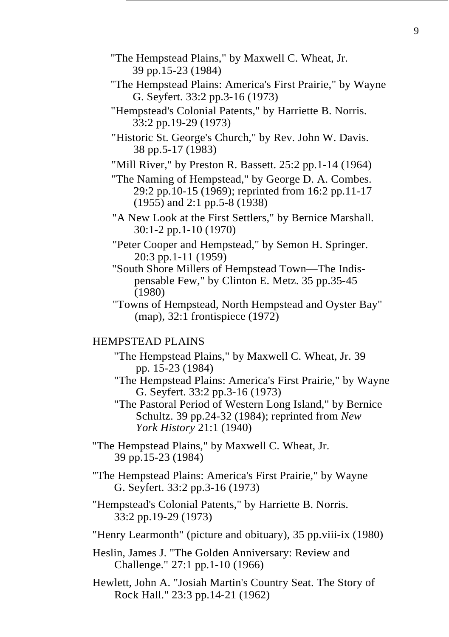- "The Hempstead Plains," by Maxwell C. Wheat, Jr. 39 pp.15-23 (1984)
- "The Hempstead Plains: America's First Prairie," by Wayne G. Seyfert. 33:2 pp.3-16 (1973)
- "Hempstead's Colonial Patents," by Harriette B. Norris. 33:2 pp.19-29 (1973)
- "Historic St. George's Church," by Rev. John W. Davis. 38 pp.5-17 (1983)
- "Mill River," by Preston R. Bassett. 25:2 pp.1-14 (1964)
- "The Naming of Hempstead," by George D. A. Combes. 29:2 pp.10-15 (1969); reprinted from 16:2 pp.11-17 (1955) and 2:1 pp.5-8 (1938)
- "A New Look at the First Settlers," by Bernice Marshall. 30:1-2 pp.1-10 (1970)
- "Peter Cooper and Hempstead," by Semon H. Springer. 20:3 pp.1-11 (1959)
- "South Shore Millers of Hempstead Town—The Indispensable Few," by Clinton E. Metz. 35 pp.35-45 (1980)
- "Towns of Hempstead, North Hempstead and Oyster Bay" (map), 32:1 frontispiece (1972)

# HEMPSTEAD PLAINS

- "The Hempstead Plains," by Maxwell C. Wheat, Jr. 39 pp. 15-23 (1984)
- "The Hempstead Plains: America's First Prairie," by Wayne G. Seyfert. 33:2 pp.3-16 (1973)
- "The Pastoral Period of Western Long Island," by Bernice Schultz. 39 pp.24-32 (1984); reprinted from *New York History* 21:1 (1940)
- "The Hempstead Plains," by Maxwell C. Wheat, Jr. 39 pp.15-23 (1984)
- "The Hempstead Plains: America's First Prairie," by Wayne G. Seyfert. 33:2 pp.3-16 (1973)
- "Hempstead's Colonial Patents," by Harriette B. Norris. 33:2 pp.19-29 (1973)
- "Henry Learmonth" (picture and obituary), 35 pp.viii-ix (1980)
- Heslin, James J. "The Golden Anniversary: Review and Challenge." 27:1 pp.1-10 (1966)
- Hewlett, John A. "Josiah Martin's Country Seat. The Story of Rock Hall." 23:3 pp.14-21 (1962)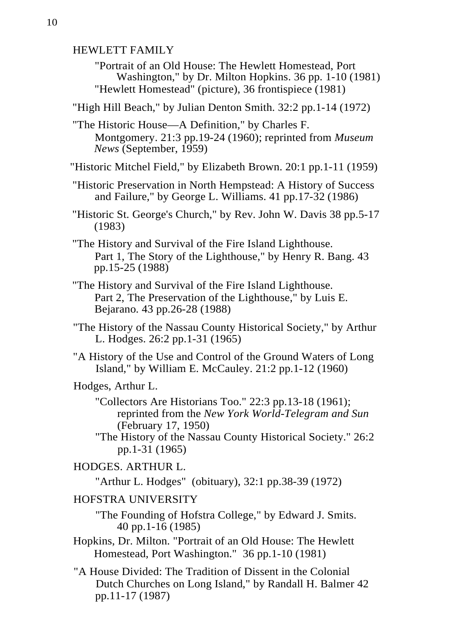HEWLETT FAMILY

"Portrait of an Old House: The Hewlett Homestead, Port Washington," by Dr. Milton Hopkins. 36 pp. 1-10 (1981) "Hewlett Homestead" (picture), 36 frontispiece (1981)

"High Hill Beach," by Julian Denton Smith. 32:2 pp.1-14 (1972)

"The Historic House—A Definition," by Charles F. Montgomery. 21:3 pp.19-24 (1960); reprinted from *Museum News* (September, 1959)

"Historic Mitchel Field," by Elizabeth Brown. 20:1 pp.1-11 (1959)

"Historic Preservation in North Hempstead: A History of Success and Failure," by George L. Williams. 41 pp.17-32 (1986)

"Historic St. George's Church," by Rev. John W. Davis 38 pp.5-17 (1983)

"The History and Survival of the Fire Island Lighthouse. Part 1, The Story of the Lighthouse," by Henry R. Bang. 43 pp.15-25 (1988)

"The History and Survival of the Fire Island Lighthouse. Part 2, The Preservation of the Lighthouse," by Luis E. Bejarano. 43 pp.26-28 (1988)

"The History of the Nassau County Historical Society," by Arthur L. Hodges. 26:2 pp.1-31 (1965)

"A History of the Use and Control of the Ground Waters of Long Island," by William E. McCauley. 21:2 pp.1-12 (1960)

Hodges, Arthur L.

"Collectors Are Historians Too." 22:3 pp.13-18 (1961); reprinted from the *New York World-Telegram and Sun*  (February 17, 1950)

"The History of the Nassau County Historical Society." 26:2 pp.1-31 (1965)

HODGES. ARTHUR L.

"Arthur L. Hodges" (obituary), 32:1 pp.38-39 (1972)

#### HOFSTRA UNIVERSITY

"The Founding of Hofstra College," by Edward J. Smits. 40 pp.1-16 (1985)

Hopkins, Dr. Milton. "Portrait of an Old House: The Hewlett Homestead, Port Washington." 36 pp.1-10 (1981)

"A House Divided: The Tradition of Dissent in the Colonial Dutch Churches on Long Island," by Randall H. Balmer 42 pp.11-17 (1987)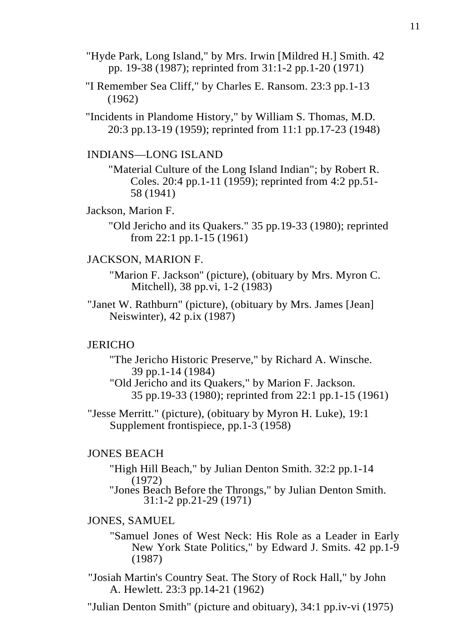- "Hyde Park, Long Island," by Mrs. Irwin [Mildred H.] Smith. 42 pp. 19-38 (1987); reprinted from 31:1-2 pp.1-20 (1971)
- "I Remember Sea Cliff," by Charles E. Ransom. 23:3 pp.1-13 (1962)

"Incidents in Plandome History," by William S. Thomas, M.D. 20:3 pp.13-19 (1959); reprinted from 11:1 pp.17-23 (1948)

## INDIANS—LONG ISLAND

"Material Culture of the Long Island Indian"; by Robert R. Coles. 20:4 pp.1-11 (1959); reprinted from 4:2 pp.51- 58 (1941)

#### Jackson, Marion F.

"Old Jericho and its Quakers." 35 pp.19-33 (1980); reprinted from 22:1 pp.1-15 (1961)

#### JACKSON, MARION F.

"Marion F. Jackson'' (picture), (obituary by Mrs. Myron C. Mitchell), 38 pp.vi, 1-2 (1983)

"Janet W. Rathburn" (picture), (obituary by Mrs. James [Jean] Neiswinter), 42 p.ix (1987)

#### **JERICHO**

"The Jericho Historic Preserve," by Richard A. Winsche. 39 pp.1-14 (1984)

"Old Jericho and its Quakers," by Marion F. Jackson. 35 pp.19-33 (1980); reprinted from 22:1 pp.1-15 (1961)

"Jesse Merritt." (picture), (obituary by Myron H. Luke), 19:1 Supplement frontispiece, pp.1-3 (1958)

# JONES BEACH

"High Hill Beach," by Julian Denton Smith. 32:2 pp.1-14

(1972) "Jones Beach Before the Throngs," by Julian Denton Smith. 31:1-2 pp.21-29 (1971)

# JONES, SAMUEL

"Samuel Jones of West Neck: His Role as a Leader in Early New York State Politics," by Edward J. Smits. 42 pp.1-9 (1987)

"Josiah Martin's Country Seat. The Story of Rock Hall," by John A. Hewlett. 23:3 pp.14-21 (1962)

"Julian Denton Smith" (picture and obituary), 34:1 pp.iv-vi (1975)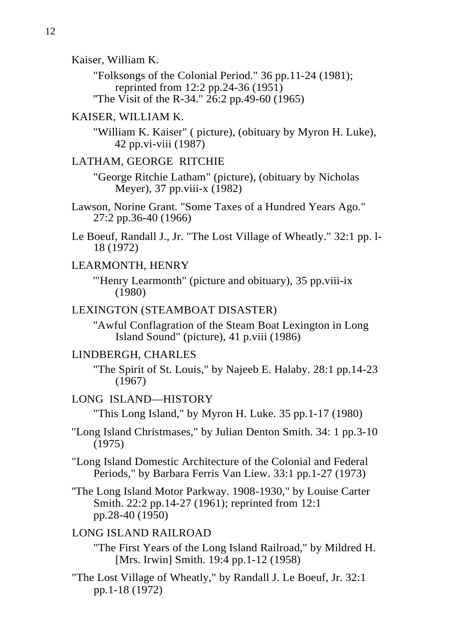Kaiser, William K.

"Folksongs of the Colonial Period." 36 pp.11-24 (1981); reprinted from 12:2 pp.24-36 (1951) "The Visit of the R-34."  $26:2$  pp.49-60 (1965)

# KAISER, WILLIAM K.

"William K. Kaiser" ( picture), (obituary by Myron H. Luke), 42 pp.vi-viii (1987)

#### LATHAM, GEORGE RITCHIE

"George Ritchie Latham" (picture), (obituary by Nicholas Meyer), 37 pp.viii-x (1982)

Le Boeuf, Randall J., Jr. "The Lost Village of Wheatly." 32:1 pp. l-18 (1972)

#### LEARMONTH, HENRY

'"Henry Learmonth" (picture and obituary), 35 pp.viii-ix (1980)

# LEXINGTON (STEAMBOAT DISASTER)

''Awful Conflagration of the Steam Boat Lexington in Long Island Sound" (picture), 41 p.viii (1986)

# LINDBERGH, CHARLES

"The Spirit of St. Louis," by Najeeb E. Halaby. 28:1 pp.14-23 (1967)

# LONG ISLAND—HISTORY

"This Long Island," by Myron H. Luke. 35 pp.1-17 (1980)

"Long Island Christmases," by Julian Denton Smith. 34: 1 pp.3-10 (1975)

"Long Island Domestic Architecture of the Colonial and Federal Periods," by Barbara Ferris Van Liew. 33:1 pp.1-27 (1973)

''The Long Island Motor Parkway. 1908-1930," by Louise Carter Smith. 22:2 pp.14-27 (1961); reprinted from 12:1 pp.28-40 (1950)

# LONG ISLAND RAILROAD

"The First Years of the Long Island Railroad," by Mildred H. [Mrs. Irwin] Smith. 19:4 pp.1-12 (1958)

"The Lost Village of Wheatly," by Randall J. Le Boeuf, Jr. 32:1 pp.1-18 (1972)

Lawson, Norine Grant. "Some Taxes of a Hundred Years Ago." 27:2 pp.36-40 (1966)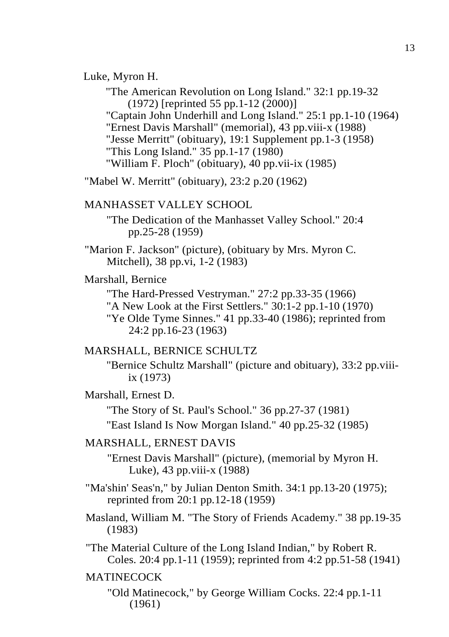#### Luke, Myron H.

"The American Revolution on Long Island." 32:1 pp.19-32 (1972) [reprinted 55 pp.1-12 (2000)] "Captain John Underhill and Long Island." 25:1 pp.1-10 (1964) "Ernest Davis Marshall" (memorial), 43 pp.viii-x (1988) "Jesse Merritt" (obituary), 19:1 Supplement pp.1-3 (1958) "This Long Island." 35 pp.1-17 (1980) "William F. Ploch" (obituary), 40 pp.vii-ix (1985)

"Mabel W. Merritt" (obituary), 23:2 p.20 (1962)

# MANHASSET VALLEY SCHOOL

"The Dedication of the Manhasset Valley School." 20:4 pp.25-28 (1959)

"Marion F. Jackson" (picture), (obituary by Mrs. Myron C. Mitchell), 38 pp.vi, 1-2 (1983)

# Marshall, Bernice

"The Hard-Pressed Vestryman." 27:2 pp.33-35 (1966) "A New Look at the First Settlers." 30:1-2 pp.1-10 (1970) "Ye Olde Tyme Sinnes." 41 pp.33-40 (1986); reprinted from 24:2 pp.16-23 (1963)

# MARSHALL, BERNICE SCHULTZ

"Bernice Schultz Marshall" (picture and obituary), 33:2 pp.viiiix (1973)

# Marshall, Ernest D.

"The Story of St. Paul's School." 36 pp.27-37 (1981)

"East Island Is Now Morgan Island." 40 pp.25-32 (1985)

## MARSHALL, ERNEST DAVIS

"Ernest Davis Marshall" (picture), (memorial by Myron H. Luke), 43 pp.viii-x (1988)

"Ma'shin' Seas'n," by Julian Denton Smith. 34:1 pp.13-20 (1975); reprinted from 20:1 pp.12-18 (1959)

Masland, William M. "The Story of Friends Academy." 38 pp.19-35 (1983)

"The Material Culture of the Long Island Indian," by Robert R. Coles. 20:4 pp.1-11 (1959); reprinted from 4:2 pp.51-58 (1941)

# MATINECOCK

"Old Matinecock," by George William Cocks. 22:4 pp.1-11 (1961)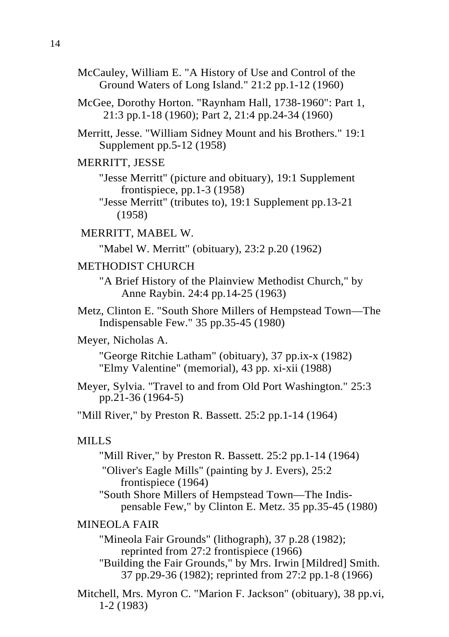McCauley, William E. "A History of Use and Control of the Ground Waters of Long Island." 21:2 pp.1-12 (1960)

McGee, Dorothy Horton. "Raynham Hall, 1738-1960": Part 1, 21:3 pp.1-18 (1960); Part 2, 21:4 pp.24-34 (1960)

Merritt, Jesse. "William Sidney Mount and his Brothers." 19:1 Supplement pp.5-12 (1958)

#### MERRITT, JESSE

"Jesse Merritt" (picture and obituary), 19:1 Supplement frontispiece, pp.1-3 (1958)

"Jesse Merritt" (tributes to), 19:1 Supplement pp.13-21 (1958)

MERRITT, MABEL W.

"Mabel W. Merritt" (obituary), 23:2 p.20 (1962)

# METHODIST CHURCH

"A Brief History of the Plainview Methodist Church," by Anne Raybin. 24:4 pp.14-25 (1963)

Metz, Clinton E. "South Shore Millers of Hempstead Town—The Indispensable Few." 35 pp.35-45 (1980)

#### Meyer, Nicholas A.

"George Ritchie Latham" (obituary), 37 pp.ix-x (1982) "Elmy Valentine" (memorial), 43 pp. xi-xii (1988)

Meyer, Sylvia. "Travel to and from Old Port Washington." 25:3 pp.21-36 (1964-5)

"Mill River," by Preston R. Bassett. 25:2 pp.1-14 (1964)

# MILLS

"Mill River," by Preston R. Bassett. 25:2 pp.1-14 (1964) "Oliver's Eagle Mills" (painting by J. Evers), 25:2 frontispiece (1964) "South Shore Millers of Hempstead Town—The Indispensable Few," by Clinton E. Metz. 35 pp.35-45 (1980)

# MINEOLA FAIR

"Mineola Fair Grounds" (lithograph), 37 p.28 (1982); reprinted from 27:2 frontispiece (1966) "Building the Fair Grounds," by Mrs. Irwin [Mildred] Smith.

Mitchell, Mrs. Myron C. "Marion F. Jackson" (obituary), 38 pp.vi, 1-2 (1983)

<sup>37</sup> pp.29-36 (1982); reprinted from 27:2 pp.1-8 (1966)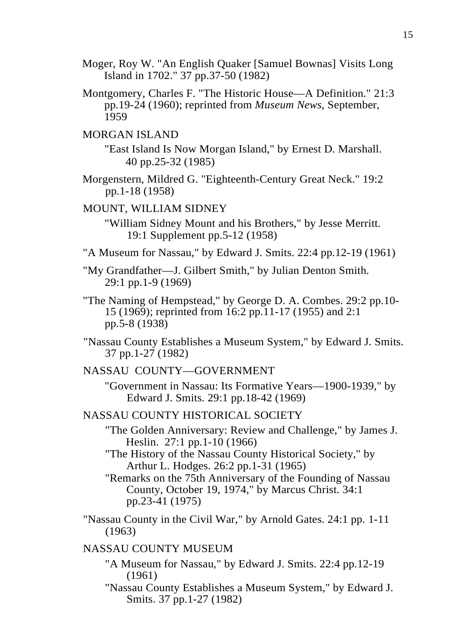- Moger, Roy W. "An English Quaker [Samuel Bownas] Visits Long Island in 1702." 37 pp.37-50 (1982)
- Montgomery, Charles F. "The Historic House—A Definition." 21:3 pp.19-24 (1960); reprinted from *Museum News,* September, 1959

# MORGAN ISLAND

"East Island Is Now Morgan Island," by Ernest D. Marshall. 40 pp.25-32 (1985)

Morgenstern, Mildred G. "Eighteenth-Century Great Neck." 19:2 pp.1-18 (1958)

#### MOUNT, WILLIAM SIDNEY

"William Sidney Mount and his Brothers," by Jesse Merritt. 19:1 Supplement pp.5-12 (1958)

- "A Museum for Nassau," by Edward J. Smits. 22:4 pp.12-19 (1961)
- "My Grandfather—J. Gilbert Smith," by Julian Denton Smith. 29:1 pp.1-9 (1969)
- "The Naming of Hempstead," by George D. A. Combes. 29:2 pp.10- 15 (1969); reprinted from 16:2 pp.11-17 (1955) and 2:1 pp.5-8 (1938)
- "Nassau County Establishes a Museum System," by Edward J. Smits. 37 pp.1-27 (1982)
- NASSAU COUNTY—GOVERNMENT
	- "Government in Nassau: Its Formative Years—1900-1939," by Edward J. Smits. 29:1 pp.18-42 (1969)
- NASSAU COUNTY HISTORICAL SOCIETY
	- "The Golden Anniversary: Review and Challenge," by James J. Heslin. 27:1 pp.1-10 (1966)
	- "The History of the Nassau County Historical Society," by Arthur L. Hodges. 26:2 pp.1-31 (1965)
	- "Remarks on the 75th Anniversary of the Founding of Nassau County, October 19, 1974," by Marcus Christ. 34:1 pp.23-41 (1975)
- "Nassau County in the Civil War," by Arnold Gates. 24:1 pp. 1-11 (1963)

# NASSAU COUNTY MUSEUM

- "A Museum for Nassau," by Edward J. Smits. 22:4 pp.12-19 (1961)
- "Nassau County Establishes a Museum System," by Edward J. Smits. 37 pp.1-27 (1982)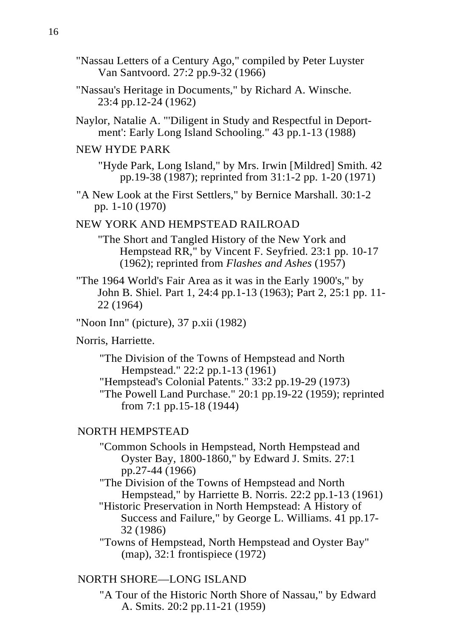- "Nassau Letters of a Century Ago," compiled by Peter Luyster Van Santvoord. 27:2 pp.9-32 (1966)
- "Nassau's Heritage in Documents," by Richard A. Winsche. 23:4 pp.12-24 (1962)
- Naylor, Natalie A. "'Diligent in Study and Respectful in Deportment': Early Long Island Schooling." 43 pp.1-13 (1988)

# NEW HYDE PARK

"Hyde Park, Long Island," by Mrs. Irwin [Mildred] Smith. 42 pp.19-38 (1987); reprinted from 31:1-2 pp. 1-20 (1971)

"A New Look at the First Settlers," by Bernice Marshall. 30:1-2 pp. 1-10 (1970)

# NEW YORK AND HEMPSTEAD RAILROAD

"The Short and Tangled History of the New York and Hempstead RR," by Vincent F. Seyfried. 23:1 pp. 10-17 (1962); reprinted from *Flashes and Ashes* (1957)

"The 1964 World's Fair Area as it was in the Early 1900's," by John B. Shiel. Part 1, 24:4 pp.1-13 (1963); Part 2, 25:1 pp. 11- 22 (1964)

"Noon Inn" (picture), 37 p.xii (1982)

#### Norris, Harriette.

"The Division of the Towns of Hempstead and North Hempstead." 22:2 pp.1-13 (1961) "Hempstead's Colonial Patents." 33:2 pp.19-29 (1973) "The Powell Land Purchase." 20:1 pp.19-22 (1959); reprinted

from 7:1 pp.15-18 (1944)

#### NORTH HEMPSTEAD

- "Common Schools in Hempstead, North Hempstead and Oyster Bay, 1800-1860," by Edward J. Smits. 27:1 pp.27-44 (1966)
- "The Division of the Towns of Hempstead and North Hempstead," by Harriette B. Norris. 22:2 pp.1-13 (1961)
- "Historic Preservation in North Hempstead: A History of Success and Failure," by George L. Williams. 41 pp.17- 32 (1986)

"Towns of Hempstead, North Hempstead and Oyster Bay" (map), 32:1 frontispiece (1972)

# NORTH SHORE—LONG ISLAND

"A Tour of the Historic North Shore of Nassau," by Edward A. Smits. 20:2 pp.11-21 (1959)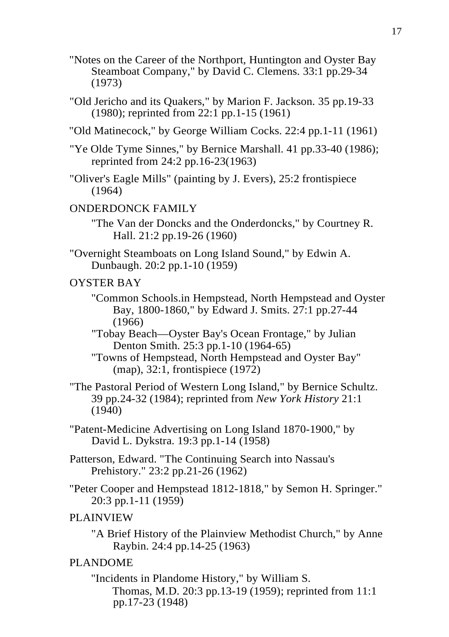- "Notes on the Career of the Northport, Huntington and Oyster Bay Steamboat Company," by David C. Clemens. 33:1 pp.29-34 (1973)
- "Old Jericho and its Quakers," by Marion F. Jackson. 35 pp.19-33 (1980); reprinted from 22:1 pp.1-15 (1961)
- "Old Matinecock," by George William Cocks. 22:4 pp.1-11 (1961)
- "Ye Olde Tyme Sinnes," by Bernice Marshall. 41 pp.33-40 (1986); reprinted from 24:2 pp.16-23(1963)
- "Oliver's Eagle Mills" (painting by J. Evers), 25:2 frontispiece (1964)

# ONDERDONCK FAMILY

- "The Van der Doncks and the Onderdoncks," by Courtney R. Hall. 21:2 pp.19-26 (1960)
- "Overnight Steamboats on Long Island Sound," by Edwin A. Dunbaugh. 20:2 pp.1-10 (1959)

# OYSTER BAY

- "Common Schools.in Hempstead, North Hempstead and Oyster Bay, 1800-1860," by Edward J. Smits. 27:1 pp.27-44 (1966)
- "Tobay Beach—Oyster Bay's Ocean Frontage," by Julian Denton Smith. 25:3 pp.1-10 (1964-65)

"Towns of Hempstead, North Hempstead and Oyster Bay" (map), 32:1, frontispiece (1972)

- "The Pastoral Period of Western Long Island," by Bernice Schultz. 39 pp.24-32 (1984); reprinted from *New York History* 21:1 (1940)
- "Patent-Medicine Advertising on Long Island 1870-1900," by David L. Dykstra. 19:3 pp.1-14 (1958)
- Patterson, Edward. "The Continuing Search into Nassau's Prehistory." 23:2 pp.21-26 (1962)
- "Peter Cooper and Hempstead 1812-1818," by Semon H. Springer." 20:3 pp.1-11 (1959)

# PLAINVIEW

"A Brief History of the Plainview Methodist Church," by Anne Raybin. 24:4 pp.14-25 (1963)

# PLANDOME

"Incidents in Plandome History," by William S. Thomas, M.D. 20:3 pp.13-19 (1959); reprinted from 11:1 pp.17-23 (1948)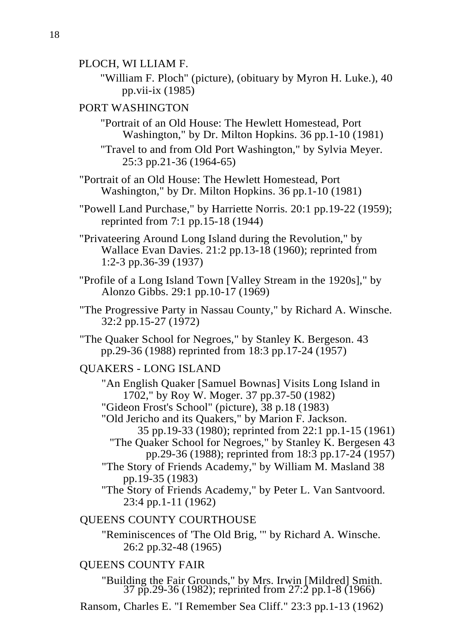- PLOCH, WI LLIAM F.
	- "William F. Ploch" (picture), (obituary by Myron H. Luke.), 40 pp.vii-ix (1985)

# PORT WASHINGTON

"Portrait of an Old House: The Hewlett Homestead, Port Washington," by Dr. Milton Hopkins. 36 pp.1-10 (1981)

"Travel to and from Old Port Washington," by Sylvia Meyer. 25:3 pp.21-36 (1964-65)

"Portrait of an Old House: The Hewlett Homestead, Port Washington," by Dr. Milton Hopkins. 36 pp.1-10 (1981)

"Powell Land Purchase," by Harriette Norris. 20:1 pp.19-22 (1959); reprinted from 7:1 pp.15-18 (1944)

"Privateering Around Long Island during the Revolution," by Wallace Evan Davies. 21:2 pp.13-18 (1960); reprinted from 1:2-3 pp.36-39 (1937)

- "Profile of a Long Island Town [Valley Stream in the 1920s]," by Alonzo Gibbs. 29:1 pp.10-17 (1969)
- "The Progressive Party in Nassau County," by Richard A. Winsche. 32:2 pp.15-27 (1972)

"The Quaker School for Negroes," by Stanley K. Bergeson. 43 pp.29-36 (1988) reprinted from 18:3 pp.17-24 (1957)

QUAKERS - LONG ISLAND

"An English Quaker [Samuel Bownas] Visits Long Island in 1702," by Roy W. Moger. 37 pp.37-50 (1982)

"Gideon Frost's School" (picture), 38 p.18 (1983)

"Old Jericho and its Quakers," by Marion F. Jackson.

- 35 pp.19-33 (1980); reprinted from 22:1 pp.1-15 (1961) "The Quaker School for Negroes," by Stanley K. Bergesen 43
	- pp.29-36 (1988); reprinted from 18:3 pp.17-24 (1957)
- "The Story of Friends Academy," by William M. Masland 38 pp.19-35 (1983)

"The Story of Friends Academy," by Peter L. Van Santvoord. 23:4 pp.1-11 (1962)

# QUEENS COUNTY COURTHOUSE

"Reminiscences of 'The Old Brig, '" by Richard A. Winsche. 26:2 pp.32-48 (1965)

# QUEENS COUNTY FAIR

"Building the Fair Grounds," by Mrs. Irwin [Mildred] Smith. 37 pp.29-36 (1982); reprinted from 27:2 pp.1-8 (1966)

Ransom, Charles E. "I Remember Sea Cliff." 23:3 pp.1-13 (1962)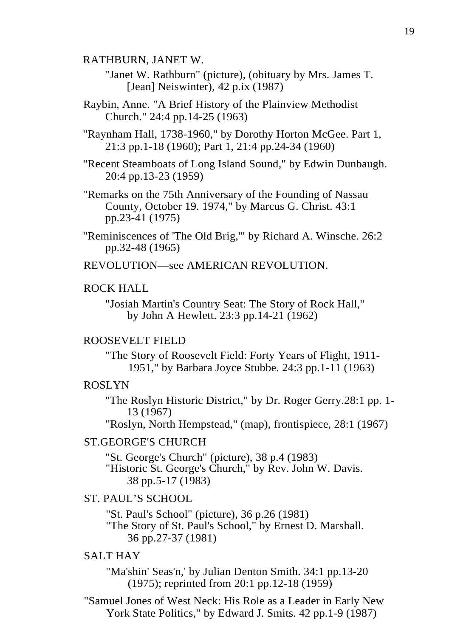RATHBURN, JANET W.

"Janet W. Rathburn" (picture), (obituary by Mrs. James T. [Jean] Neiswinter), 42 p.ix (1987)

Raybin, Anne. "A Brief History of the Plainview Methodist Church." 24:4 pp.14-25 (1963)

"Raynham Hall, 1738-1960," by Dorothy Horton McGee. Part 1, 21:3 pp.1-18 (1960); Part 1, 21:4 pp.24-34 (1960)

"Recent Steamboats of Long Island Sound," by Edwin Dunbaugh. 20:4 pp.13-23 (1959)

"Remarks on the 75th Anniversary of the Founding of Nassau County, October 19. 1974," by Marcus G. Christ. 43:1 pp.23-41 (1975)

"Reminiscences of 'The Old Brig,'" by Richard A. Winsche. 26:2 pp.32-48 (1965)

REVOLUTION—see AMERICAN REVOLUTION.

# ROCK HALL

"Josiah Martin's Country Seat: The Story of Rock Hall," by John A Hewlett. 23:3 pp.14-21 (1962)

# ROOSEVELT FIELD

"The Story of Roosevelt Field: Forty Years of Flight, 1911- 1951," by Barbara Joyce Stubbe. 24:3 pp.1-11 (1963)

#### ROSLYN

''The Roslyn Historic District," by Dr. Roger Gerry.28:1 pp. 1- 13 (1967)

"Roslyn, North Hempstead," (map), frontispiece, 28:1 (1967)

#### ST.GEORGE'S CHURCH

"St. George's Church" (picture), 38 p.4 (1983) "Historic St. George's Church," by Rev. John W. Davis. 38 pp.5-17 (1983)

# ST. PAUL'S SCHOOL

"St. Paul's School" (picture), 36 p.26 (1981) "The Story of St. Paul's School," by Ernest D. Marshall. 36 pp.27-37 (1981)

# SALT HAY

"Ma'shin' Seas'n,' by Julian Denton Smith. 34:1 pp.13-20 (1975); reprinted from 20:1 pp.12-18 (1959)

"Samuel Jones of West Neck: His Role as a Leader in Early New York State Politics," by Edward J. Smits. 42 pp.1-9 (1987)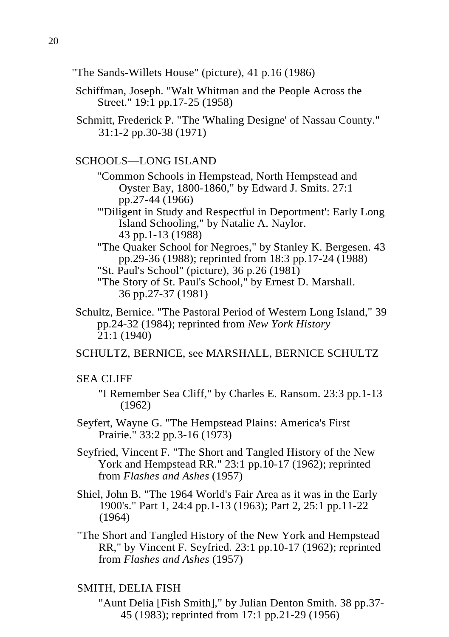"The Sands-Willets House" (picture), 41 p.16 (1986)

- Schiffman, Joseph. "Walt Whitman and the People Across the Street." 19:1 pp.17-25 (1958)
- Schmitt, Frederick P. "The 'Whaling Designe' of Nassau County." 31:1-2 pp.30-38 (1971)

# SCHOOLS—LONG ISLAND

- "Common Schools in Hempstead, North Hempstead and Oyster Bay, 1800-1860," by Edward J. Smits. 27:1 pp.27-44 (1966)
- "'Diligent in Study and Respectful in Deportment': Early Long Island Schooling," by Natalie A. Naylor. 43 pp.1-13 (1988)
- "The Quaker School for Negroes," by Stanley K. Bergesen. 43 pp.29-36 (1988); reprinted from 18:3 pp.17-24 (1988)
- "St. Paul's School" (picture), 36 p.26 (1981)
- "The Story of St. Paul's School," by Ernest D. Marshall. 36 pp.27-37 (1981)
- Schultz, Bernice. "The Pastoral Period of Western Long Island," 39 pp.24-32 (1984); reprinted from *New York History* 21:1 (1940)

SCHULTZ, BERNICE, see MARSHALL, BERNICE SCHULTZ

# SEA CLIFF

- "I Remember Sea Cliff," by Charles E. Ransom. 23:3 pp.1-13 (1962)
- Seyfert, Wayne G. "The Hempstead Plains: America's First Prairie." 33:2 pp.3-16 (1973)
- Seyfried, Vincent F. "The Short and Tangled History of the New York and Hempstead RR." 23:1 pp.10-17 (1962); reprinted from *Flashes and Ashes* (1957)
- Shiel, John B. "The 1964 World's Fair Area as it was in the Early 1900's." Part 1, 24:4 pp.1-13 (1963); Part 2, 25:1 pp.11-22 (1964)
- "The Short and Tangled History of the New York and Hempstead RR," by Vincent F. Seyfried. 23:1 pp.10-17 (1962); reprinted from *Flashes and Ashes* (1957)

#### SMITH, DELIA FISH

"Aunt Delia [Fish Smith]," by Julian Denton Smith. 38 pp.37- 45 (1983); reprinted from 17:1 pp.21-29 (1956)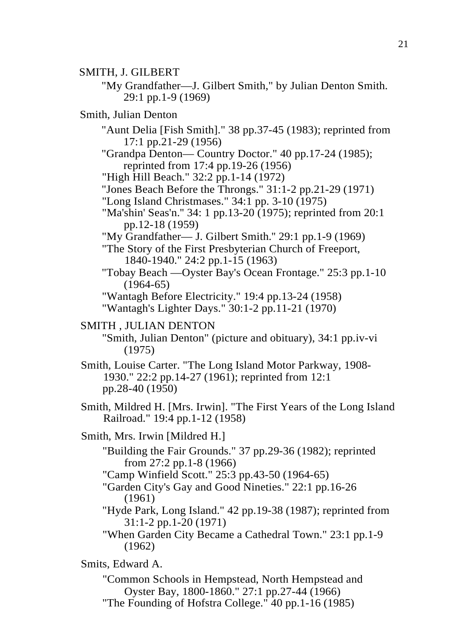SMITH, J. GILBERT

"My Grandfather—J. Gilbert Smith," by Julian Denton Smith. 29:1 pp.1-9 (1969)

Smith, Julian Denton

"Aunt Delia [Fish Smith]." 38 pp.37-45 (1983); reprinted from 17:1 pp.21-29 (1956)

"Grandpa Denton— Country Doctor." 40 pp.17-24 (1985); reprinted from 17:4 pp.19-26 (1956)

"High Hill Beach." 32:2 pp. 1-14 (1972)

"Jones Beach Before the Throngs." 31:1-2 pp.21-29 (1971)

"Long Island Christmases." 34:1 pp. 3-10 (1975)

"Ma'shin' Seas'n.'' 34: 1 pp.13-20 (1975); reprinted from 20:1 pp.12-18 (1959)

"My Grandfather— J. Gilbert Smith.'' 29:1 pp.1-9 (1969)

"The Story of the First Presbyterian Church of Freeport, 1840-1940." 24:2 pp.1-15 (1963)

"Tobay Beach —Oyster Bay's Ocean Frontage." 25:3 pp.1-10  $(1964-65)$ 

"Wantagh Before Electricity." 19:4 pp.13-24 (1958) "Wantagh's Lighter Days." 30:1-2 pp.11-21 (1970)

#### SMITH , JULIAN DENTON

"Smith, Julian Denton" (picture and obituary), 34:1 pp.iv-vi (1975)

Smith, Louise Carter. "The Long Island Motor Parkway, 1908- 1930." 22:2 pp.14-27 (1961); reprinted from 12:1 pp.28-40 (1950)

Smith, Mildred H. [Mrs. Irwin]. "The First Years of the Long Island Railroad." 19:4 pp.1-12 (1958)

Smith, Mrs. Irwin [Mildred H.]

"Building the Fair Grounds." 37 pp.29-36 (1982); reprinted from 27:2 pp.1-8 (1966)

"Camp Winfield Scott." 25:3 pp.43-50 (1964-65)

"Garden City's Gay and Good Nineties." 22:1 pp.16-26 (1961)

"Hyde Park, Long Island." 42 pp.19-38 (1987); reprinted from 31:1-2 pp.1-20 (1971)

"When Garden City Became a Cathedral Town." 23:1 pp.1-9 (1962)

# Smits, Edward A.

"Common Schools in Hempstead, North Hempstead and Oyster Bay, 1800-1860." 27:1 pp.27-44 (1966) "The Founding of Hofstra College." 40 pp.1-16 (1985)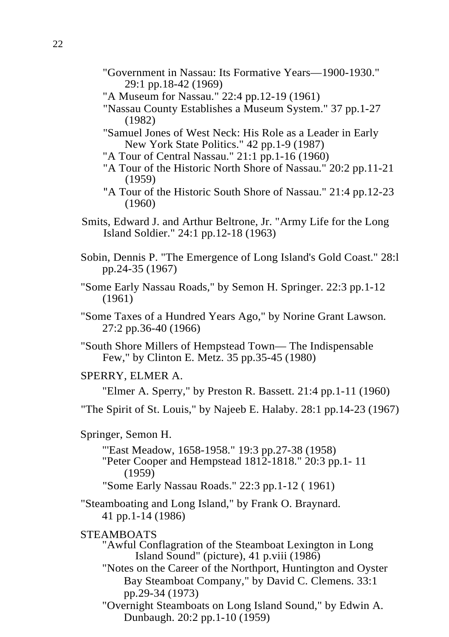- "Government in Nassau: Its Formative Years—1900-1930." 29:1 pp.18-42 (1969)
- "A Museum for Nassau." 22:4 pp.12-19 (1961)
- "Nassau County Establishes a Museum System." 37 pp.1-27 (1982)
- "Samuel Jones of West Neck: His Role as a Leader in Early New York State Politics." 42 pp.1-9 (1987)
- "A Tour of Central Nassau." 21:1 pp.1-16 (1960)
- "A Tour of the Historic North Shore of Nassau." 20:2 pp.11-21 (1959)
- "A Tour of the Historic South Shore of Nassau." 21:4 pp.12-23 (1960)
- Smits, Edward J. and Arthur Beltrone, Jr. "Army Life for the Long Island Soldier." 24:1 pp.12-18 (1963)
- Sobin, Dennis P. "The Emergence of Long Island's Gold Coast." 28:l pp.24-35 (1967)
- "Some Early Nassau Roads," by Semon H. Springer. 22:3 pp.1-12 (1961)
- "Some Taxes of a Hundred Years Ago," by Norine Grant Lawson. 27:2 pp.36-40 (1966)
- "South Shore Millers of Hempstead Town— The Indispensable Few," by Clinton E. Metz. 35 pp.35-45 (1980)

# SPERRY, ELMER A.

"Elmer A. Sperry," by Preston R. Bassett. 21:4 pp.1-11 (1960)

"The Spirit of St. Louis," by Najeeb E. Halaby. 28:1 pp.14-23 (1967)

- Springer, Semon H.
	- "'East Meadow, 1658-1958." 19:3 pp.27-38 (1958) "Peter Cooper and Hempstead 1812-1818." 20:3 pp.1- 11 (1959)
	- "Some Early Nassau Roads." 22:3 pp.1-12 ( 1961)
- "Steamboating and Long Island," by Frank O. Braynard. 41 pp.1-14 (1986)

# STEAMBOATS

- "Awful Conflagration of the Steamboat Lexington in Long Island Sound" (picture), 41 p.viii (1986)
- "Notes on the Career of the Northport, Huntington and Oyster Bay Steamboat Company," by David C. Clemens. 33:1 pp.29-34 (1973)
- "Overnight Steamboats on Long Island Sound," by Edwin A. Dunbaugh. 20:2 pp.1-10 (1959)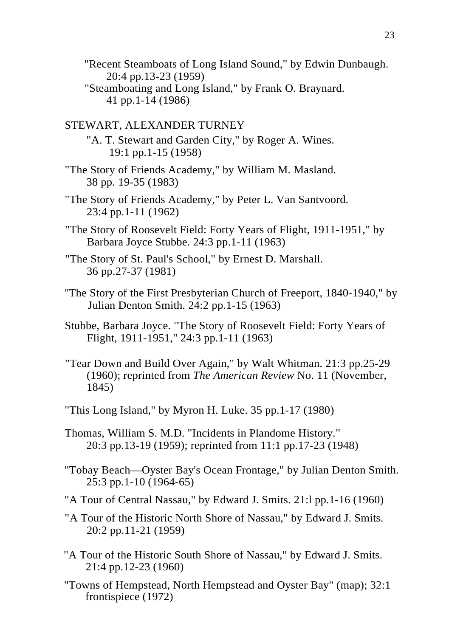"Recent Steamboats of Long Island Sound," by Edwin Dunbaugh. 20:4 pp.13-23 (1959) "Steamboating and Long Island," by Frank O. Braynard. 41 pp.1-14 (1986)

#### STEWART, ALEXANDER TURNEY

"A. T. Stewart and Garden City," by Roger A. Wines. 19:1 pp.1-15 (1958)

- "The Story of Friends Academy," by William M. Masland. 38 pp. 19-35 (1983)
- "The Story of Friends Academy," by Peter L. Van Santvoord. 23:4 pp.1-11 (1962)
- "The Story of Roosevelt Field: Forty Years of Flight, 1911-1951," by Barbara Joyce Stubbe. 24:3 pp.1-11 (1963)
- "The Story of St. Paul's School," by Ernest D. Marshall. 36 pp.27-37 (1981)
- ''The Story of the First Presbyterian Church of Freeport, 1840-1940," by Julian Denton Smith. 24:2 pp.1-15 (1963)
- Stubbe, Barbara Joyce. "The Story of Roosevelt Field: Forty Years of Flight, 1911-1951," 24:3 pp.1-11 (1963)
- "Tear Down and Build Over Again," by Walt Whitman. 21:3 pp.25-29 (1960); reprinted from *The American Review* No. 11 (November, 1845)
- "This Long Island," by Myron H. Luke. 35 pp.1-17 (1980)
- Thomas, William S. M.D. "Incidents in Plandome History." 20:3 pp.13-19 (1959); reprinted from 11:1 pp.17-23 (1948)
- "Tobay Beach—Oyster Bay's Ocean Frontage," by Julian Denton Smith. 25:3 pp.1-10 (1964-65)
- "A Tour of Central Nassau," by Edward J. Smits. 21:l pp.1-16 (1960)
- "A Tour of the Historic North Shore of Nassau," by Edward J. Smits. 20:2 pp.11-21 (1959)
- "A Tour of the Historic South Shore of Nassau," by Edward J. Smits. 21:4 pp.12-23 (1960)
- "Towns of Hempstead, North Hempstead and Oyster Bay" (map); 32:1 frontispiece (1972)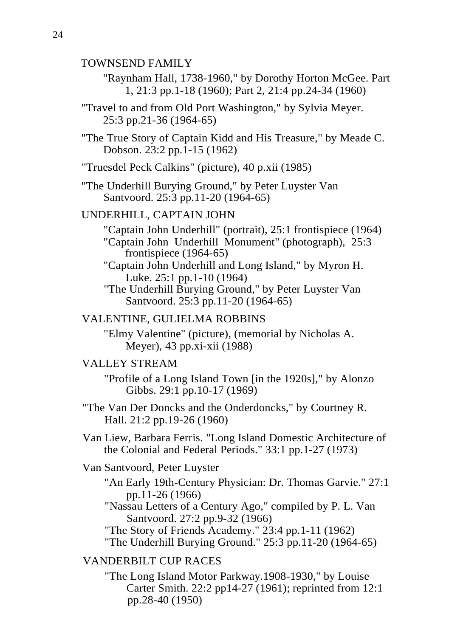# TOWNSEND FAMILY

- "Raynham Hall, 1738-1960," by Dorothy Horton McGee. Part 1, 21:3 pp.1-18 (1960); Part 2, 21:4 pp.24-34 (1960)
- "Travel to and from Old Port Washington," by Sylvia Meyer. 25:3 pp.21-36 (1964-65)
- "The True Story of Captain Kidd and His Treasure," by Meade C. Dobson. 23:2 pp.1-15 (1962)
- "Truesdel Peck Calkins" (picture), 40 p.xii (1985)
- "The Underhill Burying Ground," by Peter Luyster Van Santvoord. 25:3 pp.11-20 (1964-65)

#### UNDERHILL, CAPTAIN JOHN

- "Captain John Underhill" (portrait), 25:1 frontispiece (1964) "Captain John Underhill Monument" (photograph), 25:3 frontispiece (1964-65)
- "Captain John Underhill and Long Island," by Myron H. Luke. 25:1 pp.1-10 (1964)
- "The Underhill Burying Ground," by Peter Luyster Van Santvoord. 25:3 pp.11-20 (1964-65)

# VALENTINE, GULIELMA ROBBINS

"Elmy Valentine" (picture), (memorial by Nicholas A. Meyer), 43 pp.xi-xii (1988)

#### VALLEY STREAM

"Profile of a Long Island Town [in the 1920s]," by Alonzo Gibbs. 29:1 pp.10-17 (1969)

- "The Van Der Doncks and the Onderdoncks," by Courtney R. Hall. 21:2 pp.19-26 (1960)
- Van Liew, Barbara Ferris. "Long Island Domestic Architecture of the Colonial and Federal Periods." 33:1 pp.1-27 (1973)

#### Van Santvoord, Peter Luyster

"An Early 19th-Century Physician: Dr. Thomas Garvie." 27:1 pp.11-26 (1966)

"Nassau Letters of a Century Ago," compiled by P. L. Van Santvoord. 27:2 pp.9-32 (1966)

"The Story of Friends Academy." 23:4 pp.1-11 (1962) "The Underhill Burying Ground." 25:3 pp.11-20 (1964-65)

# VANDERBILT CUP RACES

"The Long Island Motor Parkway.1908-1930," by Louise Carter Smith. 22:2 pp14-27 (1961); reprinted from 12:1 pp.28-40 (1950)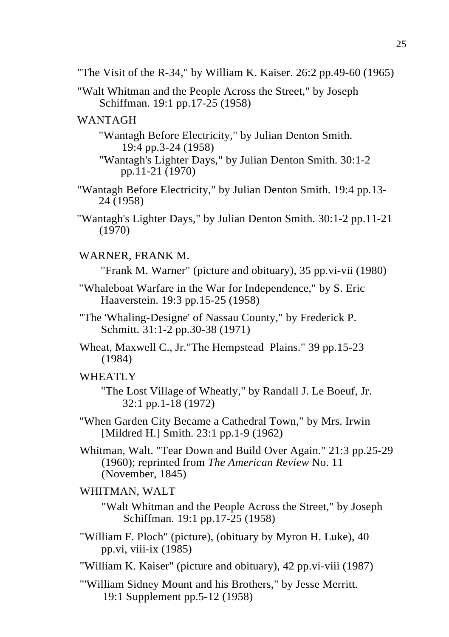"The Visit of the R-34," by William K. Kaiser.  $26:2$  pp.49-60 (1965)

"Walt Whitman and the People Across the Street," by Joseph Schiffman. 19:1 pp.17-25 (1958)

# WANTAGH

"Wantagh Before Electricity," by Julian Denton Smith. 19:4 pp.3-24 (1958)

- "Wantagh's Lighter Days," by Julian Denton Smith. 30:1-2 pp.11-21 (1970)
- "Wantagh Before Electricity," by Julian Denton Smith. 19:4 pp.13- 24 (1958)
- "Wantagh's Lighter Days," by Julian Denton Smith. 30:1-2 pp.11-21 (1970)
- WARNER, FRANK M.

"Frank M. Warner" (picture and obituary), 35 pp.vi-vii (1980)

- "Whaleboat Warfare in the War for Independence," by S. Eric Haaverstein. 19:3 pp.15-25 (1958)
- "The 'Whaling-Designe' of Nassau County," by Frederick P. Schmitt. 31:1-2 pp.30-38 (1971)
- Wheat, Maxwell C., Jr."The Hempstead Plains." 39 pp.15-23 (1984)

# WHEATLY

"The Lost Village of Wheatly," by Randall J. Le Boeuf, Jr. 32:1 pp.1-18 (1972)

- "When Garden City Became a Cathedral Town," by Mrs. Irwin [Mildred H.] Smith. 23:1 pp.1-9 (1962)
- Whitman, Walt. "Tear Down and Build Over Again." 21:3 pp.25-29 (1960); reprinted from *The American Review* No. 11 (November, 1845)

# WHITMAN, WALT

"Walt Whitman and the People Across the Street," by Joseph Schiffman. 19:1 pp.17-25 (1958)

- "William F. Ploch" (picture), (obituary by Myron H. Luke), 40 pp.vi, viii-ix (1985)
- "William K. Kaiser" (picture and obituary), 42 pp.vi-viii (1987)
- "'William Sidney Mount and his Brothers," by Jesse Merritt. 19:1 Supplement pp.5-12 (1958)